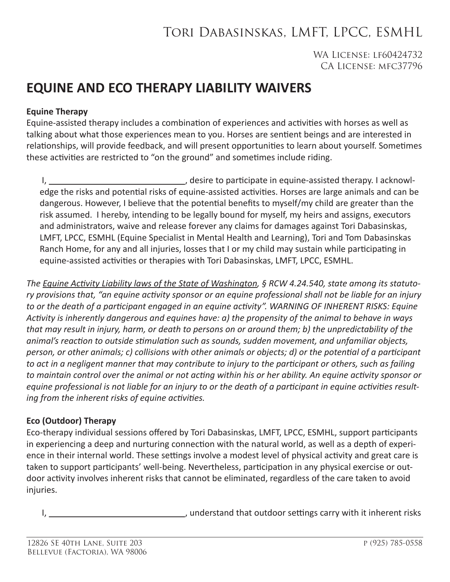# Tori Dabasinskas, LMFT, LPCC, ESMHL

### WA License: lf60424732 CA License: mfc37796

## **EQUINE AND ECO THERAPY LIABILITY WAIVERS**

#### **Equine Therapy**

Equine-assisted therapy includes a combination of experiences and activities with horses as well as talking about what those experiences mean to you. Horses are sentient beings and are interested in relationships, will provide feedback, and will present opportunities to learn about yourself. Sometimes these activities are restricted to "on the ground" and sometimes include riding.

 I, , desire to participate in equine-assisted therapy. I acknowledge the risks and potential risks of equine-assisted activities. Horses are large animals and can be dangerous. However, I believe that the potential benefits to myself/my child are greater than the risk assumed. I hereby, intending to be legally bound for myself, my heirs and assigns, executors and administrators, waive and release forever any claims for damages against Tori Dabasinskas, LMFT, LPCC, ESMHL (Equine Specialist in Mental Health and Learning), Tori and Tom Dabasinskas Ranch Home, for any and all injuries, losses that I or my child may sustain while participating in equine-assisted activities or therapies with Tori Dabasinskas, LMFT, LPCC, ESMHL.

*The Equine Activity Liability laws of the State of Washington, § RCW 4.24.540, state among its statutory provisions that, "an equine activity sponsor or an equine professional shall not be liable for an injury to or the death of a participant engaged in an equine activity". WARNING OF INHERENT RISKS: Equine Activity is inherently dangerous and equines have: a) the propensity of the animal to behave in ways that may result in injury, harm, or death to persons on or around them; b) the unpredictability of the animal's reaction to outside stimulation such as sounds, sudden movement, and unfamiliar objects, person, or other animals; c) collisions with other animals or objects; d) or the potential of a participant to act in a negligent manner that may contribute to injury to the participant or others, such as failing to maintain control over the animal or not acting within his or her ability. An equine activity sponsor or equine professional is not liable for an injury to or the death of a participant in equine activities resulting from the inherent risks of equine activities.*

#### **Eco (Outdoor) Therapy**

Eco-therapy individual sessions offered by Tori Dabasinskas, LMFT, LPCC, ESMHL, support participants in experiencing a deep and nurturing connection with the natural world, as well as a depth of experience in their internal world. These settings involve a modest level of physical activity and great care is taken to support participants' well-being. Nevertheless, participation in any physical exercise or outdoor activity involves inherent risks that cannot be eliminated, regardless of the care taken to avoid injuries.

I, 1. 1. 2012 1. Understand that outdoor settings carry with it inherent risks